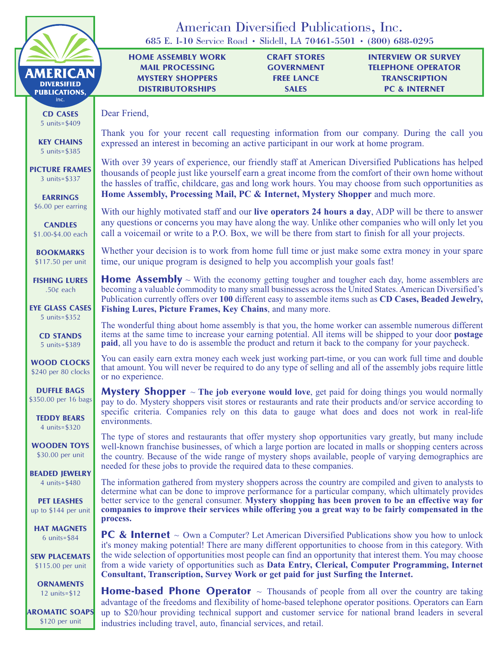|                                                               | 685 E. I-10 Service Road · Slidell, LA 70461-5501 · (800) 688-0295                                                                                                                                                                                                                                                                                                                                      | American Diversified Publications, Inc.                                       |                                                                                                  |  |  |
|---------------------------------------------------------------|---------------------------------------------------------------------------------------------------------------------------------------------------------------------------------------------------------------------------------------------------------------------------------------------------------------------------------------------------------------------------------------------------------|-------------------------------------------------------------------------------|--------------------------------------------------------------------------------------------------|--|--|
| <b>AMERICAN</b><br><b>DIVERSIFIED</b><br><b>PUBLICATIONS,</b> | <b>HOME ASSEMBLY WORK</b><br><b>MAIL PROCESSING</b><br><b>MYSTERY SHOPPERS</b><br><b>DISTRIBUTORSHIPS</b>                                                                                                                                                                                                                                                                                               | <b>CRAFT STORES</b><br><b>GOVERNMENT</b><br><b>FREE LANCE</b><br><b>SALES</b> | <b>INTERVIEW OR SURVEY</b><br><b>TELEPHONE OPERATOR</b><br><b>TRANSCRIPTION</b><br>PC & INTERNET |  |  |
| inc.<br><b>CD CASES</b><br>5 units= $$409$                    | Dear Friend,<br>Thank you for your recent call requesting information from our company. During the call you                                                                                                                                                                                                                                                                                             |                                                                               |                                                                                                  |  |  |
| <b>KEY CHAINS</b><br>5 units=\$385                            | expressed an interest in becoming an active participant in our work at home program.                                                                                                                                                                                                                                                                                                                    |                                                                               |                                                                                                  |  |  |
| <b>PICTURE FRAMES</b><br>3 units= $$337$                      | With over 39 years of experience, our friendly staff at American Diversified Publications has helped<br>thousands of people just like yourself earn a great income from the comfort of their own home without<br>the hassles of traffic, childcare, gas and long work hours. You may choose from such opportunities as                                                                                  |                                                                               |                                                                                                  |  |  |
| <b>EARRINGS</b><br>\$6.00 per earring                         | Home Assembly, Processing Mail, PC & Internet, Mystery Shopper and much more.<br>With our highly motivated staff and our <b>live operators 24 hours a day</b> , ADP will be there to answer                                                                                                                                                                                                             |                                                                               |                                                                                                  |  |  |
| <b>CANDLES</b><br>\$1.00-\$4.00 each                          | any questions or concerns you may have along the way. Unlike other companies who will only let you<br>call a voicemail or write to a P.O. Box, we will be there from start to finish for all your projects.                                                                                                                                                                                             |                                                                               |                                                                                                  |  |  |
| <b>BOOKMARKS</b><br>\$117.50 per unit                         | Whether your decision is to work from home full time or just make some extra money in your spare<br>time, our unique program is designed to help you accomplish your goals fast!                                                                                                                                                                                                                        |                                                                               |                                                                                                  |  |  |
| <b>FISHING LURES</b><br>.50 $¢$ each                          | <b>Home Assembly</b> $\sim$ With the economy getting tougher and tougher each day, home assemblers are<br>becoming a valuable commodity to many small businesses across the United States. American Diversified's<br>Publication currently offers over 100 different easy to assemble items such as CD Cases, Beaded Jewelry,                                                                           |                                                                               |                                                                                                  |  |  |
| <b>EYE GLASS CASES</b><br>5 units= $$352$                     | Fishing Lures, Picture Frames, Key Chains, and many more.<br>The wonderful thing about home assembly is that you, the home worker can assemble numerous different                                                                                                                                                                                                                                       |                                                                               |                                                                                                  |  |  |
| <b>CD STANDS</b><br>5 units=\$389                             | items at the same time to increase your earning potential. All items will be shipped to your door postage<br>paid, all you have to do is assemble the product and return it back to the company for your paycheck.                                                                                                                                                                                      |                                                                               |                                                                                                  |  |  |
| <b>WOOD CLOCKS</b><br>\$240 per 80 clocks                     | You can easily earn extra money each week just working part-time, or you can work full time and double<br>that amount. You will never be required to do any type of selling and all of the assembly jobs require little<br>or no experience.                                                                                                                                                            |                                                                               |                                                                                                  |  |  |
| <b>DUFFLE BAGS</b><br>\$350.00 per 16 bags                    | <b>Mystery Shopper</b> $\sim$ The job everyone would love, get paid for doing things you would normally<br>pay to do. Mystery shoppers visit stores or restaurants and rate their products and/or service according to<br>specific criteria. Companies rely on this data to gauge what does and does not work in real-life                                                                              |                                                                               |                                                                                                  |  |  |
| <b>TEDDY BEARS</b><br>4 units= $$320$                         | environments.                                                                                                                                                                                                                                                                                                                                                                                           |                                                                               |                                                                                                  |  |  |
| <b>WOODEN TOYS</b><br>\$30.00 per unit                        | The type of stores and restaurants that offer mystery shop opportunities vary greatly, but many include<br>well-known franchise businesses, of which a large portion are located in malls or shopping centers across<br>the country. Because of the wide range of mystery shops available, people of varying demographics are<br>needed for these jobs to provide the required data to these companies. |                                                                               |                                                                                                  |  |  |
| <b>BEADED JEWELRY</b><br>4 units=\$480                        | The information gathered from mystery shoppers across the country are compiled and given to analysts to<br>determine what can be done to improve performance for a particular company, which ultimately provides                                                                                                                                                                                        |                                                                               |                                                                                                  |  |  |
| <b>PET LEASHES</b><br>up to \$144 per unit                    | better service to the general consumer. Mystery shopping has been proven to be an effective way for<br>companies to improve their services while offering you a great way to be fairly compensated in the<br>process.                                                                                                                                                                                   |                                                                               |                                                                                                  |  |  |
| <b>HAT MAGNETS</b><br>$6$ units=\$84                          | <b>PC &amp; Internet</b> $\sim$ Own a Computer? Let American Diversified Publications show you how to unlock<br>it's money making potential! There are many different opportunities to choose from in this category. With                                                                                                                                                                               |                                                                               |                                                                                                  |  |  |
| <b>SEW PLACEMATS</b><br>\$115.00 per unit                     | the wide selection of opportunities most people can find an opportunity that interest them. You may choose<br>from a wide variety of opportunities such as Data Entry, Clerical, Computer Programming, Internet<br>Consultant, Transcription, Survey Work or get paid for just Surfing the Internet.                                                                                                    |                                                                               |                                                                                                  |  |  |
| <b>ORNAMENTS</b><br>12 units= $$12$                           | <b>Home-based Phone Operator</b> $\sim$ Thousands of people from all over the country are taking<br>advantage of the freedoms and flexibility of home-based telephone operator positions. Operators can Earn                                                                                                                                                                                            |                                                                               |                                                                                                  |  |  |
| <b>AROMATIC SOAPS</b><br>\$120 per unit                       | up to \$20/hour providing technical support and customer service for national brand leaders in several<br>industries including travel, auto, financial services, and retail.                                                                                                                                                                                                                            |                                                                               |                                                                                                  |  |  |